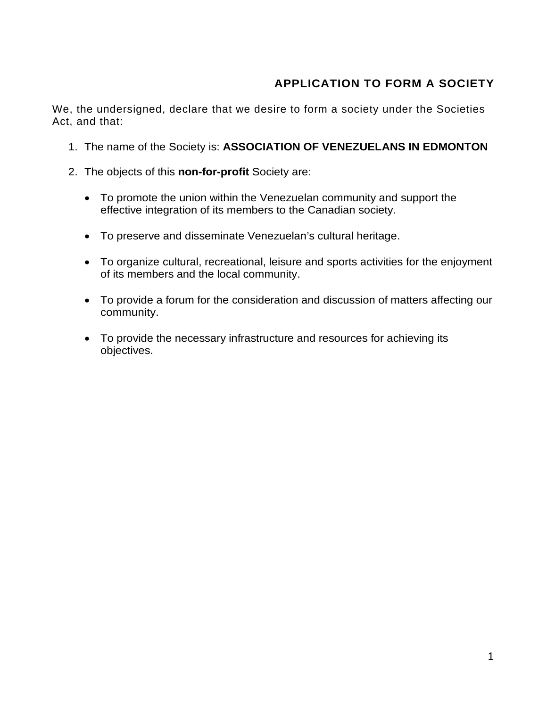# **APPLICATION TO FORM A SOCIETY**

We, the undersigned, declare that we desire to form a society under the Societies Act, and that:

- 1. The name of the Society is: **ASSOCIATION OF VENEZUELANS IN EDMONTON**
- 2. The objects of this **non-for-profit** Society are:
	- To promote the union within the Venezuelan community and support the effective integration of its members to the Canadian society.
	- To preserve and disseminate Venezuelan's cultural heritage.
	- To organize cultural, recreational, leisure and sports activities for the enjoyment of its members and the local community.
	- To provide a forum for the consideration and discussion of matters affecting our community.
	- To provide the necessary infrastructure and resources for achieving its objectives.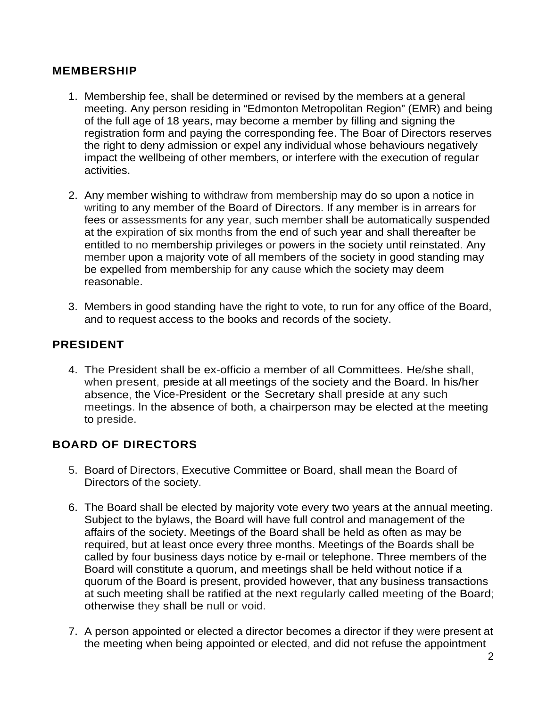#### **MEMBERSHIP**

- 1. Membership fee, shall be determined or revised by the members at a general meeting. Any person residing in "Edmonton Metropolitan Region" (EMR) and being of the full age of 18 years, may become a member by filling and signing the registration form and paying the corresponding fee. The Boar of Directors reserves the right to deny admission or expel any individual whose behaviours negatively impact the wellbeing of other members, or interfere with the execution of regular activities.
- 2. Any member wishing to withdraw from membership may do so upon a notice in writing to any member of the Board of Directors. If any member is in arrears for fees or assessments for any year, such member shall be automatically suspended at the expiration of six months from the end of such year and shall thereafter be entitled to no membership privileges or powers in the society until reinstated. Any member upon a majority vote of all members of the society in good standing may be expelled from membership for any cause which the society may deem reasonable.
- 3. Members in good standing have the right to vote, to run for any office of the Board, and to request access to the books and records of the society.

# **PRESIDENT**

4. The President shall be ex-officio a member of all Committees. He/she shall, when present, preside at all meetings of the society and the Board. ln his/her absence, the Vice-President or the Secretary shall preside at any such meetings. ln the absence of both, a chairperson may be elected at the meeting to preside.

### **BOARD OF DIRECTORS**

- 5. Board of Directors, Executive Committee or Board, shall mean the Board of Directors of the society.
- 6. The Board shall be elected by majority vote every two years at the annual meeting. Subject to the bylaws, the Board will have full control and management of the affairs of the society. Meetings of the Board shall be held as often as may be required, but at least once every three months. Meetings of the Boards shall be called by four business days notice by e-mail or telephone. Three members of the Board will constitute a quorum, and meetings shall be held without notice if a quorum of the Board is present, provided however, that any business transactions at such meeting shall be ratified at the next regularly called meeting of the Board; otherwise they shall be null or void.
- 7. A person appointed or elected a director becomes a director if they were present at the meeting when being appointed or elected, and did not refuse the appointment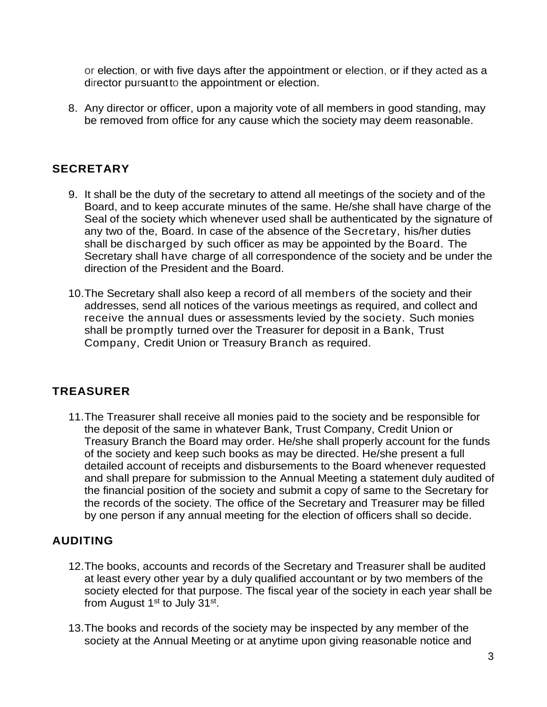or election, or with five days after the appointment or election, or if they acted as a director pursuantto the appointment or election.

8. Any director or officer, upon a majority vote of all members in good standing, may be removed from office for any cause which the society may deem reasonable.

### **SECRETARY**

- 9. It shall be the duty of the secretary to attend all meetings of the society and of the Board, and to keep accurate minutes of the same. He/she shall have charge of the Seal of the society which whenever used shall be authenticated by the signature of any two of the, Board. In case of the absence of the Secretary, his/her duties shall be discharged by such officer as may be appointed by the Board. The Secretary shall have charge of all correspondence of the society and be under the direction of the President and the Board.
- 10.The Secretary shall also keep a record of all members of the society and their addresses, send all notices of the various meetings as required, and collect and receive the annual dues or assessments levied by the society. Such monies shall be promptly turned over the Treasurer for deposit in a Bank, Trust Company, Credit Union or Treasury Branch as required.

### **TREASURER**

11.The Treasurer shall receive all monies paid to the society and be responsible for the deposit of the same in whatever Bank, Trust Company, Credit Union or Treasury Branch the Board may order. He/she shall properly account for the funds of the society and keep such books as may be directed. He/she present a full detailed account of receipts and disbursements to the Board whenever requested and shall prepare for submission to the Annual Meeting a statement duly audited of the financial position of the society and submit a copy of same to the Secretary for the records of the society. The office of the Secretary and Treasurer may be filled by one person if any annual meeting for the election of officers shall so decide.

# **AUDITING**

- 12.The books, accounts and records of the Secretary and Treasurer shall be audited at least every other year by a duly qualified accountant or by two members of the society elected for that purpose. The fiscal year of the society in each year shall be from August  $1<sup>st</sup>$  to July  $31<sup>st</sup>$ .
- 13.The books and records of the society may be inspected by any member of the society at the Annual Meeting or at anytime upon giving reasonable notice and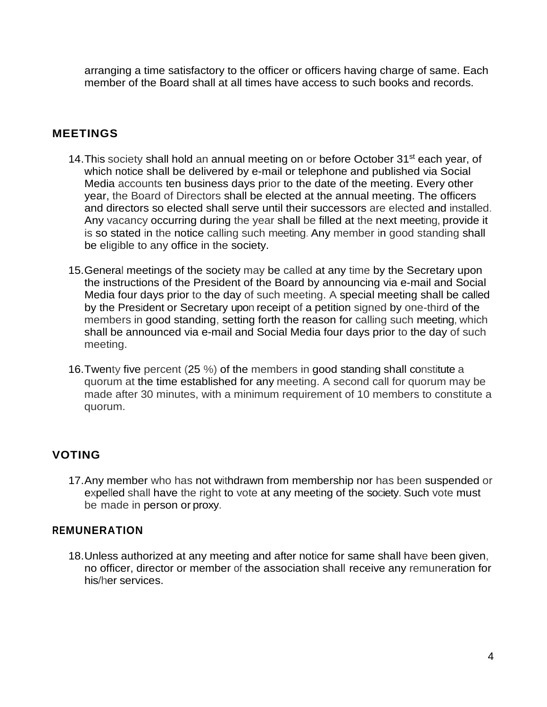arranging a time satisfactory to the officer or officers having charge of same. Each member of the Board shall at all times have access to such books and records.

### **MEETINGS**

- 14. This society shall hold an annual meeting on or before October 31<sup>st</sup> each year, of which notice shall be delivered by e-mail or telephone and published via Social Media accounts ten business days prior to the date of the meeting. Every other year, the Board of Directors shall be elected at the annual meeting. The officers and directors so elected shall serve until their successors are elected and installed. Any vacancy occurring during the year shall be filled at the next meeting, provide it is so stated in the notice calling such meeting. Any member in good standing shall be eligible to any office in the society.
- 15.General meetings of the society may be called at any time by the Secretary upon the instructions of the President of the Board by announcing via e-mail and Social Media four days prior to the day of such meeting. A special meeting shall be called by the President or Secretary upon receipt of a petition signed by one-third of the members in good standing, setting forth the reason for calling such meeting, which shall be announced via e-mail and Social Media four days prior to the day of such meeting.
- 16.Twenty five percent (25 %) of the members in good standing shall constitute a quorum at the time established for any meeting. A second call for quorum may be made after 30 minutes, with a minimum requirement of 10 members to constitute a quorum.

# **VOTING**

17.Any member who has not withdrawn from membership nor has been suspended or expelled shall have the right to vote at any meeting of the society. Such vote must be made in person or proxy.

### **REMUNERATION**

18.Unless authorized at any meeting and after notice for same shall have been given, no officer, director or member of the association shall receive any remuneration for his/her services.